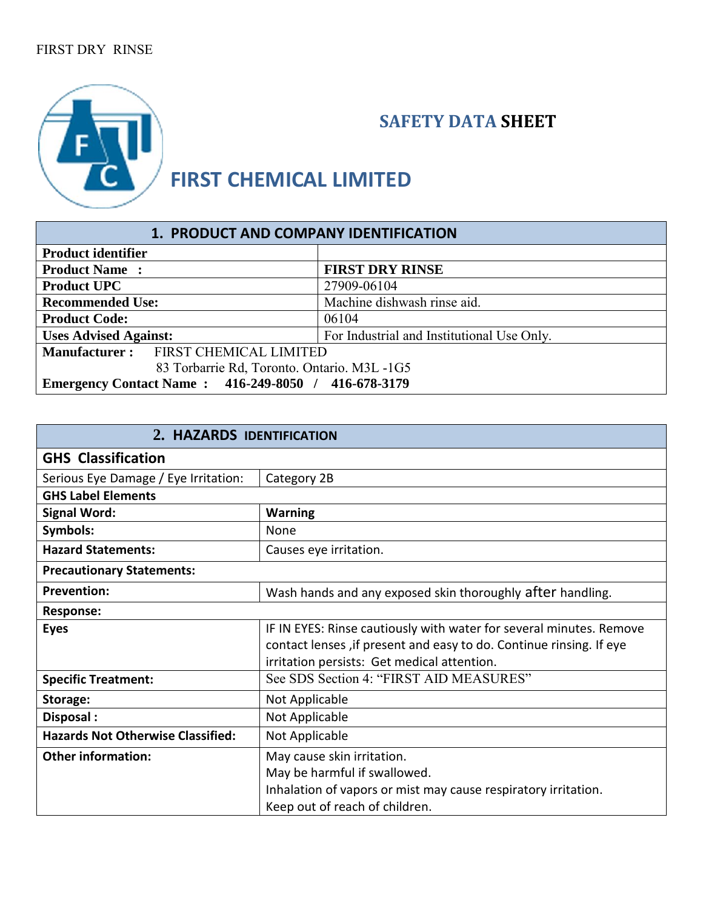## FIRST DRY RINSE



## **SAFETY DATA SHEET**

## **FIRST CHEMICAL LIMITED**

| 1. PRODUCT AND COMPANY IDENTIFICATION                                      |                             |  |
|----------------------------------------------------------------------------|-----------------------------|--|
| <b>Product identifier</b>                                                  |                             |  |
| <b>Product Name:</b>                                                       | <b>FIRST DRY RINSE</b>      |  |
| <b>Product UPC</b>                                                         | 27909-06104                 |  |
| <b>Recommended Use:</b>                                                    | Machine dishwash rinse aid. |  |
| <b>Product Code:</b>                                                       | 06104                       |  |
| <b>Uses Advised Against:</b><br>For Industrial and Institutional Use Only. |                             |  |
| Manufacturer: FIRST CHEMICAL LIMITED                                       |                             |  |
| 83 Torbarrie Rd, Toronto. Ontario. M3L -1G5                                |                             |  |
| Emergency Contact Name: 416-249-8050 / 416-678-3179                        |                             |  |

| 2. HAZARDS IDENTIFICATION                |                                                                     |  |
|------------------------------------------|---------------------------------------------------------------------|--|
| <b>GHS Classification</b>                |                                                                     |  |
| Serious Eye Damage / Eye Irritation:     | Category 2B                                                         |  |
| <b>GHS Label Elements</b>                |                                                                     |  |
| <b>Signal Word:</b>                      | <b>Warning</b>                                                      |  |
| Symbols:                                 | None                                                                |  |
| <b>Hazard Statements:</b>                | Causes eye irritation.                                              |  |
| <b>Precautionary Statements:</b>         |                                                                     |  |
| <b>Prevention:</b>                       | Wash hands and any exposed skin thoroughly after handling.          |  |
| <b>Response:</b>                         |                                                                     |  |
| <b>Eyes</b>                              | IF IN EYES: Rinse cautiously with water for several minutes. Remove |  |
|                                          | contact lenses, if present and easy to do. Continue rinsing. If eye |  |
|                                          | irritation persists: Get medical attention.                         |  |
| <b>Specific Treatment:</b>               | See SDS Section 4: "FIRST AID MEASURES"                             |  |
| Storage:                                 | Not Applicable                                                      |  |
| Disposal:                                | Not Applicable                                                      |  |
| <b>Hazards Not Otherwise Classified:</b> | Not Applicable                                                      |  |
| <b>Other information:</b>                | May cause skin irritation.                                          |  |
|                                          | May be harmful if swallowed.                                        |  |
|                                          | Inhalation of vapors or mist may cause respiratory irritation.      |  |
|                                          | Keep out of reach of children.                                      |  |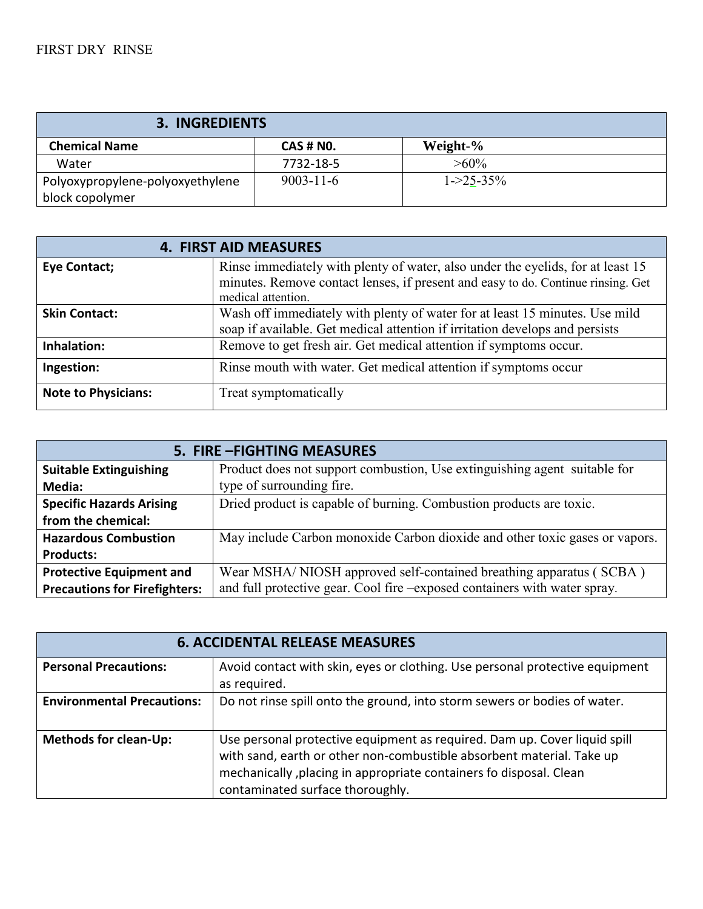| <b>3. INGREDIENTS</b>                               |                  |                 |  |
|-----------------------------------------------------|------------------|-----------------|--|
| <b>Chemical Name</b>                                | <b>CAS # NO.</b> | Weight-%        |  |
| Water                                               | 7732-18-5        | $>60\%$         |  |
| Polyoxypropylene-polyoxyethylene<br>block copolymer | $9003 - 11 - 6$  | $1 - 25 - 35\%$ |  |

|                            | <b>4. FIRST AID MEASURES</b>                                                     |
|----------------------------|----------------------------------------------------------------------------------|
| Eye Contact;               | Rinse immediately with plenty of water, also under the eyelids, for at least 15  |
|                            | minutes. Remove contact lenses, if present and easy to do. Continue rinsing. Get |
|                            | medical attention.                                                               |
| <b>Skin Contact:</b>       | Wash off immediately with plenty of water for at least 15 minutes. Use mild      |
|                            | soap if available. Get medical attention if irritation develops and persists     |
| Inhalation:                | Remove to get fresh air. Get medical attention if symptoms occur.                |
| Ingestion:                 | Rinse mouth with water. Get medical attention if symptoms occur                  |
| <b>Note to Physicians:</b> | Treat symptomatically                                                            |

| 5. FIRE - FIGHTING MEASURES          |                                                                             |
|--------------------------------------|-----------------------------------------------------------------------------|
| <b>Suitable Extinguishing</b>        | Product does not support combustion, Use extinguishing agent suitable for   |
| Media:                               | type of surrounding fire.                                                   |
| <b>Specific Hazards Arising</b>      | Dried product is capable of burning. Combustion products are toxic.         |
| from the chemical:                   |                                                                             |
| <b>Hazardous Combustion</b>          | May include Carbon monoxide Carbon dioxide and other toxic gases or vapors. |
| <b>Products:</b>                     |                                                                             |
| <b>Protective Equipment and</b>      | Wear MSHA/NIOSH approved self-contained breathing apparatus (SCBA)          |
| <b>Precautions for Firefighters:</b> | and full protective gear. Cool fire -exposed containers with water spray.   |

| <b>6. ACCIDENTAL RELEASE MEASURES</b> |                                                                                                                                                                                                                                                              |
|---------------------------------------|--------------------------------------------------------------------------------------------------------------------------------------------------------------------------------------------------------------------------------------------------------------|
| <b>Personal Precautions:</b>          | Avoid contact with skin, eyes or clothing. Use personal protective equipment<br>as required.                                                                                                                                                                 |
| <b>Environmental Precautions:</b>     | Do not rinse spill onto the ground, into storm sewers or bodies of water.                                                                                                                                                                                    |
| <b>Methods for clean-Up:</b>          | Use personal protective equipment as required. Dam up. Cover liquid spill<br>with sand, earth or other non-combustible absorbent material. Take up<br>mechanically, placing in appropriate containers fo disposal. Clean<br>contaminated surface thoroughly. |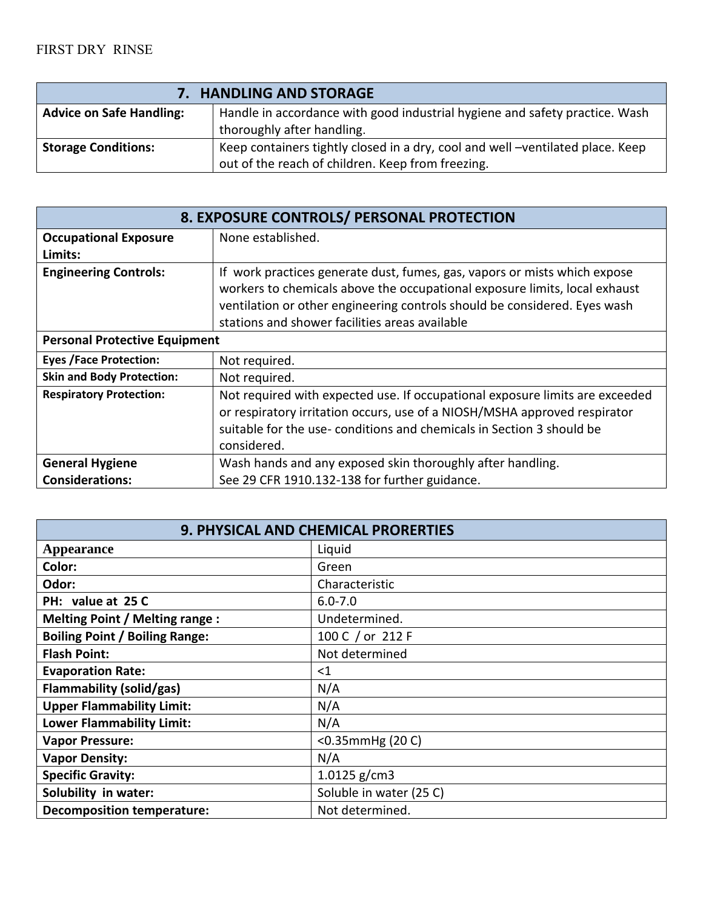| 7. HANDLING AND STORAGE         |                                                                                                                                     |
|---------------------------------|-------------------------------------------------------------------------------------------------------------------------------------|
| <b>Advice on Safe Handling:</b> | Handle in accordance with good industrial hygiene and safety practice. Wash                                                         |
|                                 | thoroughly after handling.                                                                                                          |
| <b>Storage Conditions:</b>      | Keep containers tightly closed in a dry, cool and well -ventilated place. Keep<br>out of the reach of children. Keep from freezing. |

| 8. EXPOSURE CONTROLS/ PERSONAL PROTECTION |                                                                                                                                                                                                                                                                                        |
|-------------------------------------------|----------------------------------------------------------------------------------------------------------------------------------------------------------------------------------------------------------------------------------------------------------------------------------------|
| <b>Occupational Exposure</b>              | None established.                                                                                                                                                                                                                                                                      |
| Limits:                                   |                                                                                                                                                                                                                                                                                        |
| <b>Engineering Controls:</b>              | If work practices generate dust, fumes, gas, vapors or mists which expose<br>workers to chemicals above the occupational exposure limits, local exhaust<br>ventilation or other engineering controls should be considered. Eyes wash<br>stations and shower facilities areas available |
| <b>Personal Protective Equipment</b>      |                                                                                                                                                                                                                                                                                        |
| <b>Eyes /Face Protection:</b>             | Not required.                                                                                                                                                                                                                                                                          |
| <b>Skin and Body Protection:</b>          | Not required.                                                                                                                                                                                                                                                                          |
| <b>Respiratory Protection:</b>            | Not required with expected use. If occupational exposure limits are exceeded<br>or respiratory irritation occurs, use of a NIOSH/MSHA approved respirator<br>suitable for the use-conditions and chemicals in Section 3 should be<br>considered.                                       |
| <b>General Hygiene</b>                    | Wash hands and any exposed skin thoroughly after handling.                                                                                                                                                                                                                             |
| <b>Considerations:</b>                    | See 29 CFR 1910.132-138 for further guidance.                                                                                                                                                                                                                                          |

| 9. PHYSICAL AND CHEMICAL PRORERTIES   |                         |  |
|---------------------------------------|-------------------------|--|
| <b>Appearance</b>                     | Liquid                  |  |
| Color:                                | Green                   |  |
| Odor:                                 | Characteristic          |  |
| PH: value at 25 C                     | $6.0 - 7.0$             |  |
| <b>Melting Point / Melting range:</b> | Undetermined.           |  |
| <b>Boiling Point / Boiling Range:</b> | 100 C / or 212 F        |  |
| <b>Flash Point:</b>                   | Not determined          |  |
| <b>Evaporation Rate:</b>              | $<$ 1                   |  |
| Flammability (solid/gas)              | N/A                     |  |
| <b>Upper Flammability Limit:</b>      | N/A                     |  |
| <b>Lower Flammability Limit:</b>      | N/A                     |  |
| <b>Vapor Pressure:</b>                | $<$ 0.35mmHg $(20 C)$   |  |
| <b>Vapor Density:</b>                 | N/A                     |  |
| <b>Specific Gravity:</b>              | 1.0125 $g/cm3$          |  |
| Solubility in water:                  | Soluble in water (25 C) |  |
| <b>Decomposition temperature:</b>     | Not determined.         |  |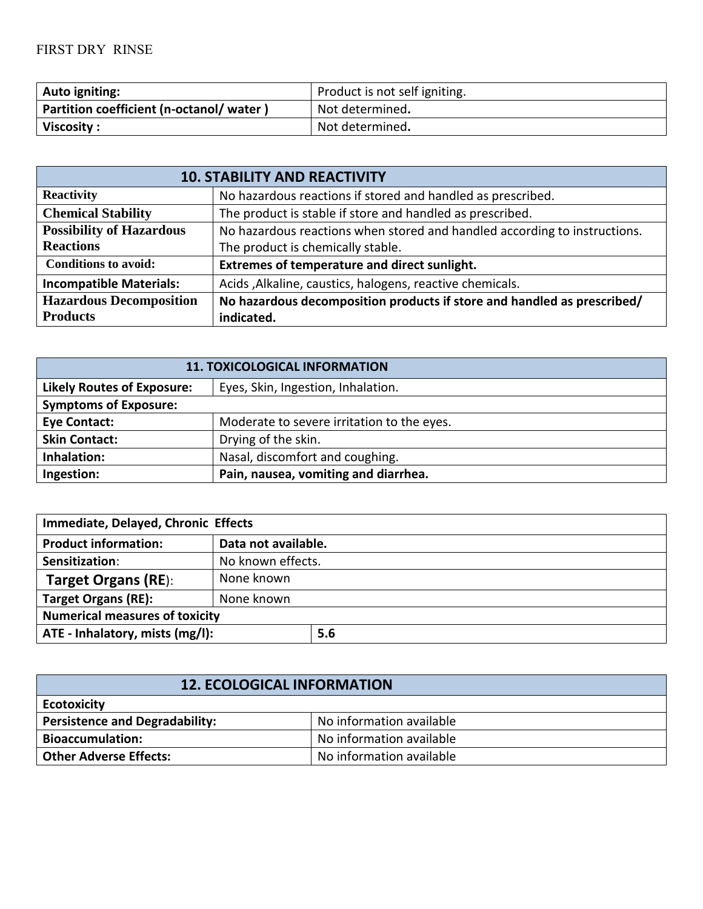| Auto igniting:                          | Product is not self igniting. |
|-----------------------------------------|-------------------------------|
| Partition coefficient (n-octanol/water) | Not determined.               |
| Viscosity:                              | Not determined.               |

| <b>10. STABILITY AND REACTIVITY</b> |                                                                           |
|-------------------------------------|---------------------------------------------------------------------------|
| <b>Reactivity</b>                   | No hazardous reactions if stored and handled as prescribed.               |
| <b>Chemical Stability</b>           | The product is stable if store and handled as prescribed.                 |
| <b>Possibility of Hazardous</b>     | No hazardous reactions when stored and handled according to instructions. |
| <b>Reactions</b>                    | The product is chemically stable.                                         |
| <b>Conditions to avoid:</b>         | Extremes of temperature and direct sunlight.                              |
| <b>Incompatible Materials:</b>      | Acids , Alkaline, caustics, halogens, reactive chemicals.                 |
| <b>Hazardous Decomposition</b>      | No hazardous decomposition products if store and handled as prescribed/   |
| <b>Products</b>                     | indicated.                                                                |

| <b>11. TOXICOLOGICAL INFORMATION</b> |                                            |
|--------------------------------------|--------------------------------------------|
| <b>Likely Routes of Exposure:</b>    | Eyes, Skin, Ingestion, Inhalation.         |
| <b>Symptoms of Exposure:</b>         |                                            |
| <b>Eye Contact:</b>                  | Moderate to severe irritation to the eyes. |
| <b>Skin Contact:</b>                 | Drying of the skin.                        |
| Inhalation:                          | Nasal, discomfort and coughing.            |
| Ingestion:                           | Pain, nausea, vomiting and diarrhea.       |

| Immediate, Delayed, Chronic Effects   |                     |     |
|---------------------------------------|---------------------|-----|
| <b>Product information:</b>           | Data not available. |     |
| Sensitization:                        | No known effects.   |     |
| <b>Target Organs (RE):</b>            | None known          |     |
| <b>Target Organs (RE):</b>            | None known          |     |
| <b>Numerical measures of toxicity</b> |                     |     |
| ATE - Inhalatory, mists (mg/l):       |                     | 5.6 |

| <b>12. ECOLOGICAL INFORMATION</b>     |                          |  |
|---------------------------------------|--------------------------|--|
| <b>Ecotoxicity</b>                    |                          |  |
| <b>Persistence and Degradability:</b> | No information available |  |
| <b>Bioaccumulation:</b>               | No information available |  |
| <b>Other Adverse Effects:</b>         | No information available |  |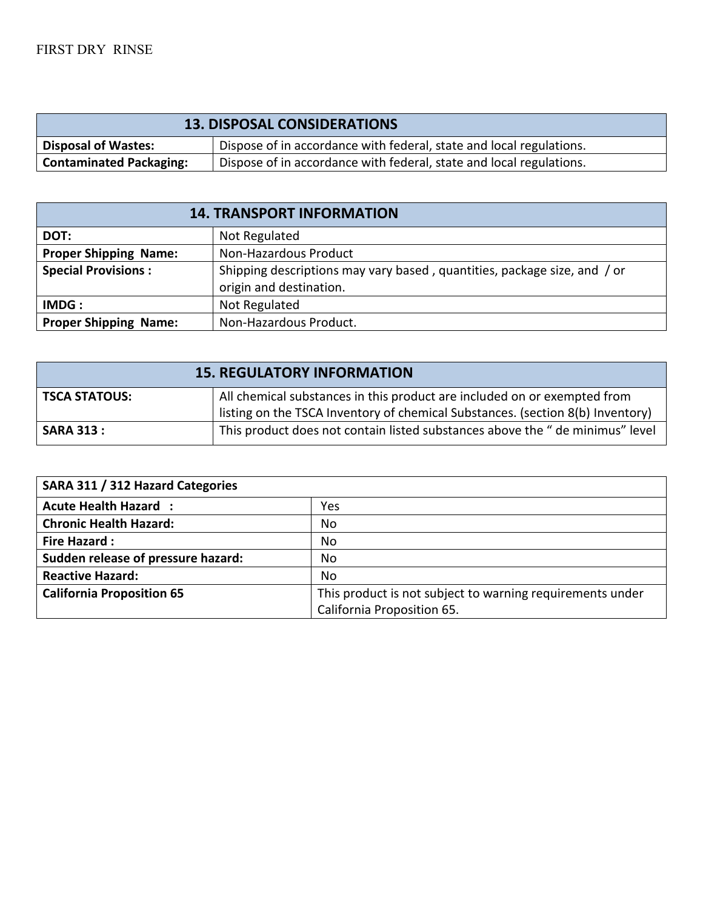| <b>13. DISPOSAL CONSIDERATIONS</b>                                                                |                                                                     |  |
|---------------------------------------------------------------------------------------------------|---------------------------------------------------------------------|--|
| <b>Disposal of Wastes:</b><br>Dispose of in accordance with federal, state and local regulations. |                                                                     |  |
| <b>Contaminated Packaging:</b>                                                                    | Dispose of in accordance with federal, state and local regulations. |  |

| <b>14. TRANSPORT INFORMATION</b> |                                                                                                     |  |
|----------------------------------|-----------------------------------------------------------------------------------------------------|--|
| DOT:                             | Not Regulated                                                                                       |  |
| <b>Proper Shipping Name:</b>     | Non-Hazardous Product                                                                               |  |
| <b>Special Provisions:</b>       | Shipping descriptions may vary based, quantities, package size, and / or<br>origin and destination. |  |
| IMDG:                            | Not Regulated                                                                                       |  |
| <b>Proper Shipping Name:</b>     | Non-Hazardous Product.                                                                              |  |

| <b>15. REGULATORY INFORMATION</b> |                                                                                                                                                            |  |
|-----------------------------------|------------------------------------------------------------------------------------------------------------------------------------------------------------|--|
| <b>TSCA STATOUS:</b>              | All chemical substances in this product are included on or exempted from<br>listing on the TSCA Inventory of chemical Substances. (section 8(b) Inventory) |  |
| <b>SARA 313:</b>                  | This product does not contain listed substances above the " de minimus" level                                                                              |  |

| SARA 311 / 312 Hazard Categories   |                                                           |
|------------------------------------|-----------------------------------------------------------|
| <b>Acute Health Hazard :</b>       | Yes                                                       |
| <b>Chronic Health Hazard:</b>      | No                                                        |
| <b>Fire Hazard:</b>                | No                                                        |
| Sudden release of pressure hazard: | No                                                        |
| <b>Reactive Hazard:</b>            | No                                                        |
| <b>California Proposition 65</b>   | This product is not subject to warning requirements under |
|                                    | California Proposition 65.                                |